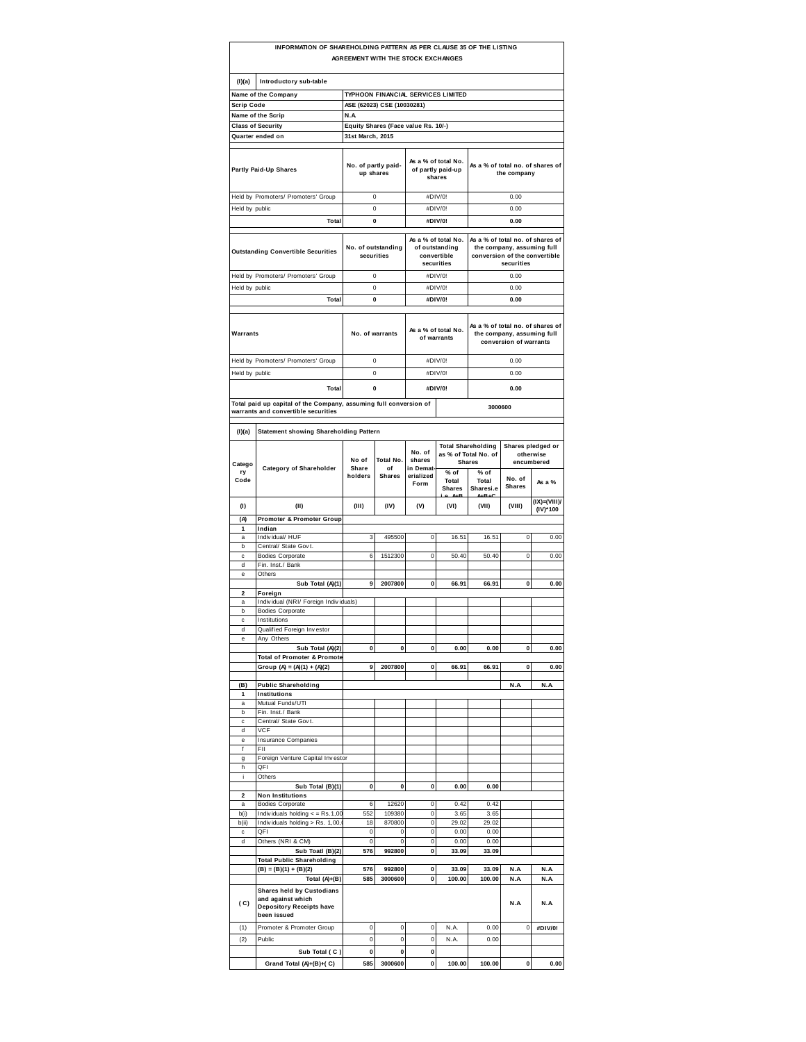|                      | INFORMATION OF SHAREHOLDING PATTERN AS PER CLAUSE 35 OF THE LISTING                              | AGREEMENT WITH THE STOCK EXCHANGES  |                                  |                                                    |                                                                    |                                                                                                               |               |                         |  |
|----------------------|--------------------------------------------------------------------------------------------------|-------------------------------------|----------------------------------|----------------------------------------------------|--------------------------------------------------------------------|---------------------------------------------------------------------------------------------------------------|---------------|-------------------------|--|
| (1)(a)               | Introductory sub-table                                                                           |                                     |                                  |                                                    |                                                                    |                                                                                                               |               |                         |  |
|                      | Name of the Company                                                                              |                                     |                                  |                                                    | TYPHOON FINANCIAL SERVICES LIMITED                                 |                                                                                                               |               |                         |  |
| Scrip Code           |                                                                                                  |                                     | ASE (62023) CSE (10030281)       |                                                    |                                                                    |                                                                                                               |               |                         |  |
|                      | Name of the Scrip                                                                                | N.A                                 |                                  |                                                    |                                                                    |                                                                                                               |               |                         |  |
|                      | <b>Class of Security</b>                                                                         | Equity Shares (Face value Rs. 10/-) |                                  |                                                    |                                                                    |                                                                                                               |               |                         |  |
|                      | Quarter ended on                                                                                 | 31st March, 2015                    |                                  |                                                    |                                                                    |                                                                                                               |               |                         |  |
|                      | Partly Paid-Up Shares                                                                            | No. of partly paid-<br>up shares    |                                  | As a % of total No.<br>of partly paid-up<br>shares |                                                                    | As a % of total no. of shares of<br>the company                                                               |               |                         |  |
|                      | Held by Promoters/ Promoters' Group                                                              |                                     | $\bf 0$                          |                                                    | #DIV/0!                                                            |                                                                                                               | 0.00          |                         |  |
| Held by public       |                                                                                                  |                                     | 0                                |                                                    | #DIV/0!                                                            |                                                                                                               | 0.00          |                         |  |
|                      | Total                                                                                            |                                     | 0                                |                                                    | #DIV/0!                                                            |                                                                                                               | 0.00          |                         |  |
|                      | <b>Outstanding Convertible Securities</b>                                                        |                                     | No. of outstanding<br>securities |                                                    | As a % of total No.<br>of outstanding<br>convertible<br>securities | As a % of total no. of shares of<br>the company, assuming full<br>conversion of the convertible<br>securities |               |                         |  |
|                      |                                                                                                  |                                     | 0                                |                                                    | #DIV/0!                                                            |                                                                                                               | 0.00          |                         |  |
|                      | Held by Promoters/ Promoters' Group                                                              |                                     | 0                                |                                                    | #DIV/0!                                                            |                                                                                                               | 0.00          |                         |  |
| Held by public       | <b>Total</b>                                                                                     |                                     | 0                                |                                                    | #DIV/0!                                                            |                                                                                                               | 0.00          |                         |  |
|                      |                                                                                                  |                                     |                                  |                                                    |                                                                    |                                                                                                               |               |                         |  |
| Warrants             |                                                                                                  | No. of warrants                     |                                  |                                                    | As a % of total No.<br>of warrants                                 | As a % of total no. of shares of<br>the company, assuming full<br>conversion of warrants                      |               |                         |  |
|                      | Held by Promoters/ Promoters' Group                                                              |                                     | 0                                |                                                    | #DIV/0!                                                            |                                                                                                               | 0.00          |                         |  |
| Held by public       |                                                                                                  |                                     | $\mathbf 0$                      |                                                    | #DIV/0!                                                            |                                                                                                               | 0.00          |                         |  |
|                      | <b>Total</b>                                                                                     |                                     | 0                                |                                                    | #DIV/0!                                                            |                                                                                                               | 0.00          |                         |  |
|                      | Total paid up capital of the Company, assuming full conversion of                                |                                     |                                  |                                                    |                                                                    |                                                                                                               |               |                         |  |
|                      | warrants and convertible securities                                                              |                                     |                                  |                                                    |                                                                    | 3000600                                                                                                       |               |                         |  |
|                      |                                                                                                  |                                     |                                  |                                                    |                                                                    |                                                                                                               |               |                         |  |
| (1)(a)               | Statement showing Shareholding Pattern                                                           |                                     |                                  |                                                    |                                                                    | <b>Total Shareholding</b>                                                                                     |               | Shares pledged or       |  |
| Catego<br>ry<br>Code | <b>Category of Shareholder</b>                                                                   | No of<br>Share<br>holders           | Total No.<br>of<br><b>Shares</b> | No. of<br>shares<br>in Demat-<br>erialized         | % of<br>Total                                                      | as % of Total No. of<br><b>Shares</b><br>% of<br>Total                                                        | No. of        | otherwise<br>encumbered |  |
|                      |                                                                                                  |                                     |                                  | Form                                               | <b>Shares</b>                                                      | Sharesi.e                                                                                                     | <b>Shares</b> | As a %<br>(IX)=(VIII)/  |  |
| (1)                  | (II)                                                                                             | (III)                               | (IV)                             | (V)                                                | (VI)                                                               | (VII)                                                                                                         | (VIII)        | (IV)*100                |  |
| (A)                  | Promoter & Promoter Group                                                                        |                                     |                                  |                                                    |                                                                    |                                                                                                               |               |                         |  |
| 1<br>a               | Indian<br>Individual/ HUF                                                                        | 3                                   | 495500                           | 0                                                  | 16.51                                                              | 16.51                                                                                                         | 0             | 0.00                    |  |
| b                    | Central/ State Govt.                                                                             |                                     |                                  |                                                    |                                                                    |                                                                                                               |               |                         |  |
| c                    | <b>Bodies Corporate</b>                                                                          | 6                                   | 1512300                          | 0                                                  | 50.40                                                              | 50.40                                                                                                         | $\mathbf 0$   | 0.00                    |  |
| d                    | Fin. Inst./ Bank                                                                                 |                                     |                                  |                                                    |                                                                    |                                                                                                               |               |                         |  |
| e                    | Others<br>Sub Total (A)(1)                                                                       | 9                                   | 2007800                          | 0                                                  | 66.91                                                              | 66.91                                                                                                         | 0             | 0.00                    |  |
| 2                    | Foreign                                                                                          |                                     |                                  |                                                    |                                                                    |                                                                                                               |               |                         |  |
| a                    | Individual (NRI/ Foreign Individuals)                                                            |                                     |                                  |                                                    |                                                                    |                                                                                                               |               |                         |  |
| b                    | <b>Bodies Corporate</b>                                                                          |                                     |                                  |                                                    |                                                                    |                                                                                                               |               |                         |  |
| c                    | Institutions                                                                                     |                                     |                                  |                                                    |                                                                    |                                                                                                               |               |                         |  |
| d<br>e               | Qualified Foreign Investor<br>Any Others                                                         |                                     |                                  |                                                    |                                                                    |                                                                                                               |               |                         |  |
|                      | Sub Total (A)(2)                                                                                 | 0                                   | 0                                | 0                                                  | 0.00                                                               | 0.00                                                                                                          | 0             | 0.00                    |  |
|                      | Total of Promoter & Promote                                                                      |                                     |                                  |                                                    |                                                                    |                                                                                                               |               |                         |  |
|                      | Group (A) = $(A)(1) + (A)(2)$                                                                    | 9                                   | 2007800                          | 0                                                  | 66.91                                                              | 66.91                                                                                                         | 0             | 0.00                    |  |
| (B)                  | <b>Public Shareholding</b>                                                                       |                                     |                                  |                                                    |                                                                    |                                                                                                               | N.A           | N.A                     |  |
| 1                    | Institutions                                                                                     |                                     |                                  |                                                    |                                                                    |                                                                                                               |               |                         |  |
| a                    | Mutual Funds/UTI                                                                                 |                                     |                                  |                                                    |                                                                    |                                                                                                               |               |                         |  |
| b<br>c               | Fin. Inst./ Bank<br>Central/ State Govt.                                                         |                                     |                                  |                                                    |                                                                    |                                                                                                               |               |                         |  |
| d                    | <b>VCF</b>                                                                                       |                                     |                                  |                                                    |                                                                    |                                                                                                               |               |                         |  |
| e                    | <b>Insurance Companies</b>                                                                       |                                     |                                  |                                                    |                                                                    |                                                                                                               |               |                         |  |
| f                    | FII                                                                                              |                                     |                                  |                                                    |                                                                    |                                                                                                               |               |                         |  |
| g<br>h               | Foreign Venture Capital Investor<br>QFI                                                          |                                     |                                  |                                                    |                                                                    |                                                                                                               |               |                         |  |
| i                    | Others                                                                                           |                                     |                                  |                                                    |                                                                    |                                                                                                               |               |                         |  |
|                      | Sub Total (B)(1)                                                                                 | 0                                   | 0                                | 0                                                  | 0.00                                                               | 0.00                                                                                                          |               |                         |  |
| $\overline{a}$       | <b>Non Institutions</b>                                                                          |                                     |                                  |                                                    |                                                                    |                                                                                                               |               |                         |  |
| a<br>b(i)            | <b>Bodies Corporate</b><br>Individuals holding $\lt$ = Rs.1,00                                   | 6<br>552                            | 12620<br>109380                  | 0<br>0                                             | 0.42<br>3.65                                                       | 0.42<br>3.65                                                                                                  |               |                         |  |
| b(ii)                | Individuals holding > Rs. 1,00,                                                                  | 18                                  | 870800                           | 0                                                  | 29.02                                                              | 29.02                                                                                                         |               |                         |  |
| c                    | QFI                                                                                              | 0                                   | 0                                | 0                                                  | 0.00                                                               | 0.00                                                                                                          |               |                         |  |
| d                    | Others (NRI & CM)                                                                                | $\pmb{0}$                           | $\pmb{0}$                        | 0                                                  | 0.00                                                               | 0.00                                                                                                          |               |                         |  |
|                      | Sub Toatl (B)(2)<br><b>Total Public Shareholding</b>                                             | 576                                 | 992800                           | 0                                                  | 33.09                                                              | 33.09                                                                                                         |               |                         |  |
|                      | $(B) = (B)(1) + (B)(2)$                                                                          | 576                                 | 992800                           | 0                                                  | 33.09                                                              | 33.09                                                                                                         | N.A           | N.A                     |  |
|                      | Total (A)+(B)                                                                                    | 585                                 | 3000600                          | 0                                                  | 100.00                                                             | 100.00                                                                                                        | N.A           | N.A                     |  |
| (C)                  | Shares held by Custodians<br>and against which<br><b>Depository Receipts have</b><br>been issued |                                     |                                  |                                                    |                                                                    |                                                                                                               | N.A           | N.A                     |  |
| (1)                  | Promoter & Promoter Group                                                                        | $\pmb{0}$                           | 0                                | 0                                                  | N.A.                                                               | 0.00                                                                                                          | 0             | #DIV/0!                 |  |
| (2)                  | Public                                                                                           | 0                                   | 0                                | 0                                                  | N.A.                                                               | 0.00                                                                                                          |               |                         |  |
|                      | Sub Total (C)                                                                                    | 0                                   | 0                                | 0                                                  |                                                                    |                                                                                                               |               |                         |  |
|                      | Grand Total (A)+(B)+(C)                                                                          | 585                                 | 3000600                          | 0                                                  | 100.00                                                             | 100.00                                                                                                        | 0             | 0.00                    |  |